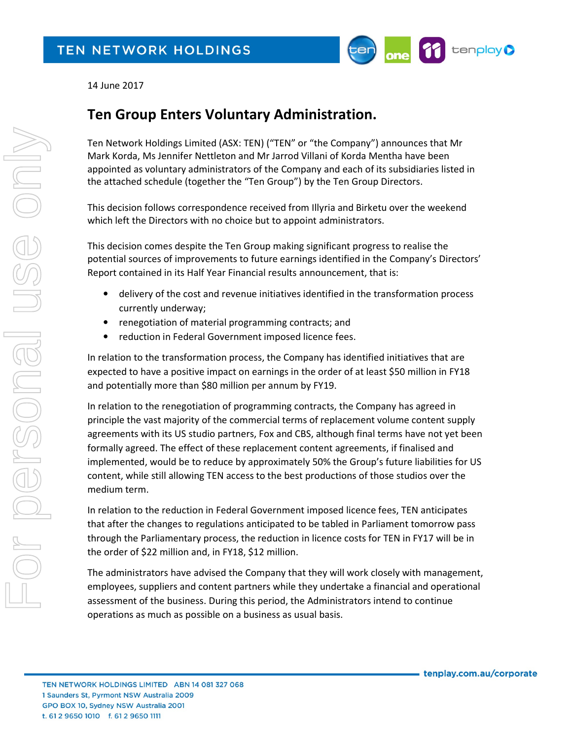

14 June 2017

## Ten Group Enters Voluntary Administration.

Ten Network Holdings Limited (ASX: TEN) ("TEN" or "the Company") announces that Mr Mark Korda, Ms Jennifer Nettleton and Mr Jarrod Villani of Korda Mentha have been appointed as voluntary administrators of the Company and each of its subsidiaries listed in the attached schedule (together the "Ten Group") by the Ten Group Directors.

This decision follows correspondence received from Illyria and Birketu over the weekend which left the Directors with no choice but to appoint administrators.

This decision comes despite the Ten Group making significant progress to realise the potential sources of improvements to future earnings identified in the Company's Directors' Report contained in its Half Year Financial results announcement, that is:

- delivery of the cost and revenue initiatives identified in the transformation process currently underway;
- renegotiation of material programming contracts; and
- reduction in Federal Government imposed licence fees.

In relation to the transformation process, the Company has identified initiatives that are expected to have a positive impact on earnings in the order of at least \$50 million in FY18 and potentially more than \$80 million per annum by FY19.

In relation to the renegotiation of programming contracts, the Company has agreed in principle the vast majority of the commercial terms of replacement volume content supply agreements with its US studio partners, Fox and CBS, although final terms have not yet been formally agreed. The effect of these replacement content agreements, if finalised and implemented, would be to reduce by approximately 50% the Group's future liabilities for US content, while still allowing TEN access to the best productions of those studios over the medium term.

In relation to the reduction in Federal Government imposed licence fees, TEN anticipates that after the changes to regulations anticipated to be tabled in Parliament tomorrow pass through the Parliamentary process, the reduction in licence costs for TEN in FY17 will be in the order of \$22 million and, in FY18, \$12 million.

The administrators have advised the Company that they will work closely with management, employees, suppliers and content partners while they undertake a financial and operational assessment of the business. During this period, the Administrators intend to continue operations as much as possible on a business as usual basis.